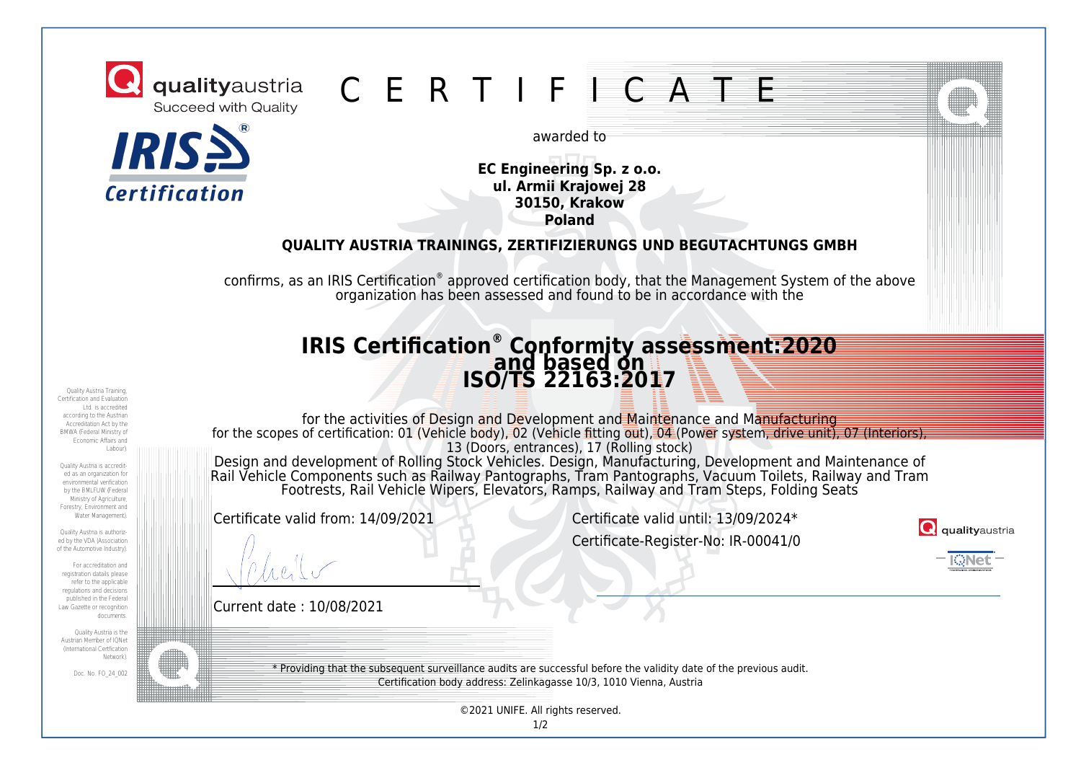



**C** qualityaustria C E R T I F I C A T E

awarded to

**EC Engineering Sp. z o.o. ul. Armii Krajowej 28 30150, Krakow Poland**

## **QUALITY AUSTRIA TRAININGS, ZERTIFIZIERUNGS UND BEGUTACHTUNGS GMBH**

confirms, as an IRIS Certification® approved certification body, that the Management System of the above organization has been assessed and found to be in accordance with the

## **IRIS Certification® Conformity assessment:2020 and based on ISO/TS 22163:2017**

Quality Austria Training, Certification and Evaluation Ltd. is accredited according to the Austrian Accreditation Act by the BMWA (Federal Ministry of Economic Affairs and Labour).

Quality Austria is accredited as an organization for environmental verification by the BMLFUW (Federal Ministry of Agriculture Forestry, Environment and Water Management).

Quality Austria is authorized by the VDA (Association of the Automotive Industry).

For accreditation and registration datails please refer to the annlicable regulations and decisions published in the Federal Law Gazette or recognition documents.

Quality Austria is the Austrian Member of IQNet (International Certfication Network).

Doc. No. FO\_24\_002

for the activities of Design and Development and Maintenance and Manufacturing for the scopes of certification: 01 (Vehicle body), 02 (Vehicle fitting out), 04 (Power system, drive unit), 07 (Interiors) 13 (Doors, entrances), 17 (Rolling stock) Design and development of Rolling Stock Vehicles. Design, Manufacturing, Development and Maintenance of Rail Vehicle Components such as Railway Pantographs, Tram Pantographs, Vacuum Toilets, Railway and Tram Footrests, Rail Vehicle Wipers, Elevators, Ramps, Railway and Tram Steps, Folding Seats

Certificate valid from: 14/09/2021 Certificate valid until: 13/09/2024\* Certificate-Register-No: IR-00041/0



DNA1

Current date : 10/08/2021

\* Providing that the subsequent surveillance audits are successful before the validity date of the previous audit. Certification body address: Zelinkagasse 10/3, 1010 Vienna, Austria

©2021 UNIFE. All rights reserved.